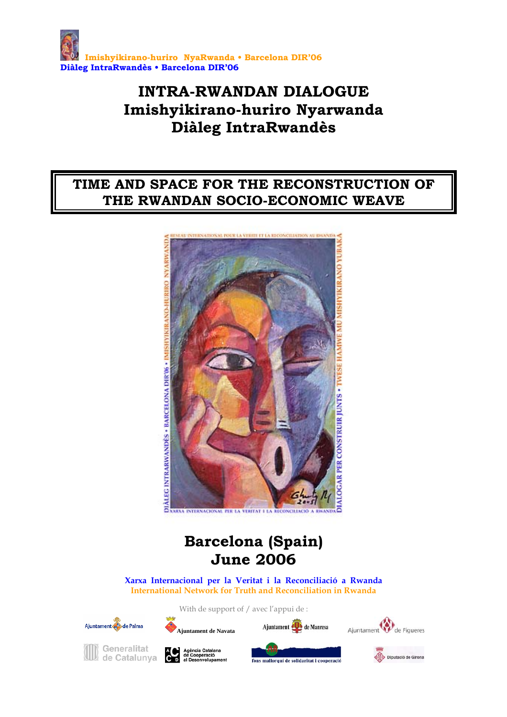

# **INTRA-RWANDAN DIALOGUE Imishyikirano-huriro Nyarwanda Diàleg IntraRwandès**

# **TIME AND SPACE FOR THE RECONSTRUCTION OF THE RWANDAN SOCIO-ECONOMIC WEAVE**



# **Barcelona (Spain) June 2006**

**Xarxa Internacional per la Veritat i la Reconciliació a Rwanda International Network for Truth and Reconciliation in Rwanda** 

With de support of / avec l'appui de :







**Ajuntament de Navata**



fons mallorquí de solidaritat i cooperacie



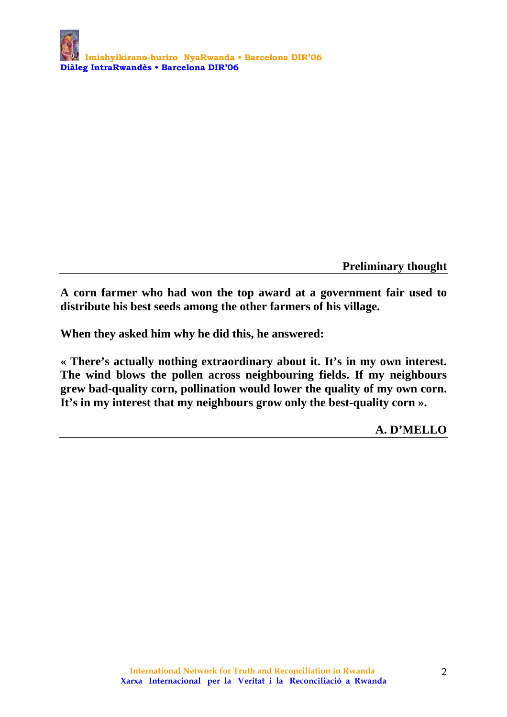**Preliminary thought** 

**A corn farmer who had won the top award at a government fair used to distribute his best seeds among the other farmers of his village.** 

**When they asked him why he did this, he answered:** 

**« There's actually nothing extraordinary about it. It's in my own interest. The wind blows the pollen across neighbouring fields. If my neighbours grew bad-quality corn, pollination would lower the quality of my own corn. It's in my interest that my neighbours grow only the best-quality corn ».** 

 **A. D'MELLO**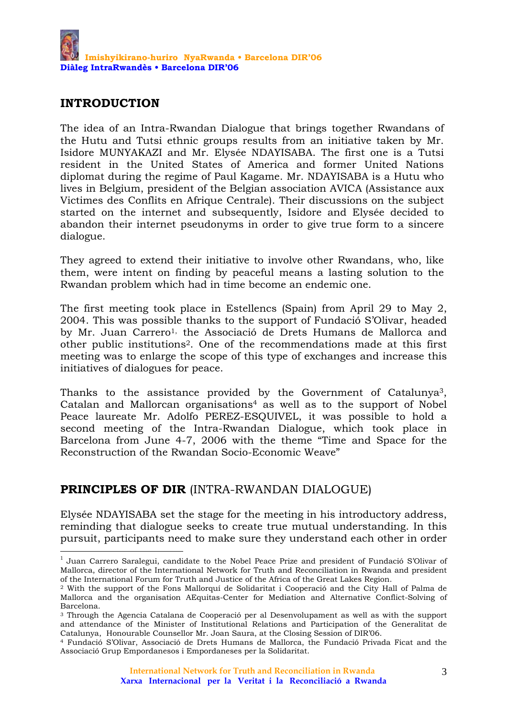### **INTRODUCTION**

1

The idea of an Intra-Rwandan Dialogue that brings together Rwandans of the Hutu and Tutsi ethnic groups results from an initiative taken by Mr. Isidore MUNYAKAZI and Mr. Elysée NDAYISABA. The first one is a Tutsi resident in the United States of America and former United Nations diplomat during the regime of Paul Kagame. Mr. NDAYISABA is a Hutu who lives in Belgium, president of the Belgian association AVICA (Assistance aux Victimes des Conflits en Afrique Centrale). Their discussions on the subject started on the internet and subsequently, Isidore and Elysée decided to abandon their internet pseudonyms in order to give true form to a sincere dialogue.

They agreed to extend their initiative to involve other Rwandans, who, like them, were intent on finding by peaceful means a lasting solution to the Rwandan problem which had in time become an endemic one.

The first meeting took place in Estellencs (Spain) from April 29 to May 2, 2004. This was possible thanks to the support of Fundació S'Olivar, headed by Mr. Juan Carrero<sup>1,</sup> the Associació de Drets Humans de Mallorca and other public institutions2. One of the recommendations made at this first meeting was to enlarge the scope of this type of exchanges and increase this initiatives of dialogues for peace.

Thanks to the assistance provided by the Government of Catalunya3, Catalan and Mallorcan organisations<sup>4</sup> as well as to the support of Nobel Peace laureate Mr. Adolfo PEREZ-ESQUIVEL, it was possible to hold a second meeting of the Intra-Rwandan Dialogue, which took place in Barcelona from June 4-7, 2006 with the theme "Time and Space for the Reconstruction of the Rwandan Socio-Economic Weave"

# **PRINCIPLES OF DIR** (INTRA-RWANDAN DIALOGUE)

Elysée NDAYISABA set the stage for the meeting in his introductory address, reminding that dialogue seeks to create true mutual understanding. In this pursuit, participants need to make sure they understand each other in order

<sup>&</sup>lt;sup>1</sup> Juan Carrero Saralegui, candidate to the Nobel Peace Prize and president of Fundació S'Olivar of Mallorca, director of the International Network for Truth and Reconciliation in Rwanda and president of the International Forum for Truth and Justice of the Africa of the Great Lakes Region.

<sup>2</sup> With the support of the Fons Mallorquí de Solidaritat i Cooperació and the City Hall of Palma de Mallorca and the organisation AEquitas-Center for Mediation and Alternative Conflict-Solving of Barcelona.

<sup>3</sup> Through the Agencia Catalana de Cooperació per al Desenvolupament as well as with the support and attendance of the Minister of Institutional Relations and Participation of the Generalitat de Catalunya, Honourable Counsellor Mr. Joan Saura, at the Closing Session of DIR'06.

<sup>4</sup> Fundació S'Olivar, Associació de Drets Humans de Mallorca, the Fundació Privada Ficat and the Associació Grup Empordanesos i Empordaneses per la Solidaritat.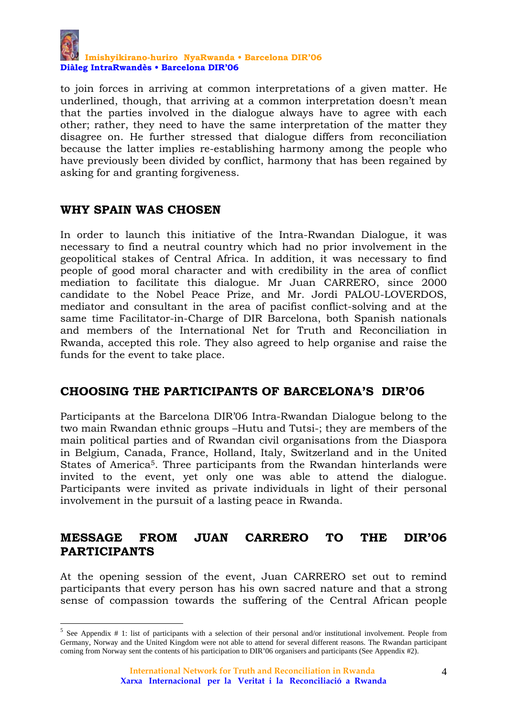

to join forces in arriving at common interpretations of a given matter. He underlined, though, that arriving at a common interpretation doesn't mean that the parties involved in the dialogue always have to agree with each other; rather, they need to have the same interpretation of the matter they disagree on. He further stressed that dialogue differs from reconciliation because the latter implies re-establishing harmony among the people who have previously been divided by conflict, harmony that has been regained by asking for and granting forgiveness.

### **WHY SPAIN WAS CHOSEN**

1

In order to launch this initiative of the Intra-Rwandan Dialogue, it was necessary to find a neutral country which had no prior involvement in the geopolitical stakes of Central Africa. In addition, it was necessary to find people of good moral character and with credibility in the area of conflict mediation to facilitate this dialogue. Mr Juan CARRERO, since 2000 candidate to the Nobel Peace Prize, and Mr. Jordi PALOU-LOVERDOS, mediator and consultant in the area of pacifist conflict-solving and at the same time Facilitator-in-Charge of DIR Barcelona, both Spanish nationals and members of the International Net for Truth and Reconciliation in Rwanda, accepted this role. They also agreed to help organise and raise the funds for the event to take place.

#### **CHOOSING THE PARTICIPANTS OF BARCELONA'S DIR'06**

Participants at the Barcelona DIR'06 Intra-Rwandan Dialogue belong to the two main Rwandan ethnic groups –Hutu and Tutsi-; they are members of the main political parties and of Rwandan civil organisations from the Diaspora in Belgium, Canada, France, Holland, Italy, Switzerland and in the United States of America5. Three participants from the Rwandan hinterlands were invited to the event, yet only one was able to attend the dialogue. Participants were invited as private individuals in light of their personal involvement in the pursuit of a lasting peace in Rwanda.

## **MESSAGE FROM JUAN CARRERO TO THE DIR'06 PARTICIPANTS**

At the opening session of the event, Juan CARRERO set out to remind participants that every person has his own sacred nature and that a strong sense of compassion towards the suffering of the Central African people

 $5$  See Appendix # 1: list of participants with a selection of their personal and/or institutional involvement. People from Germany, Norway and the United Kingdom were not able to attend for several different reasons. The Rwandan participant coming from Norway sent the contents of his participation to DIR'06 organisers and participants (See Appendix #2).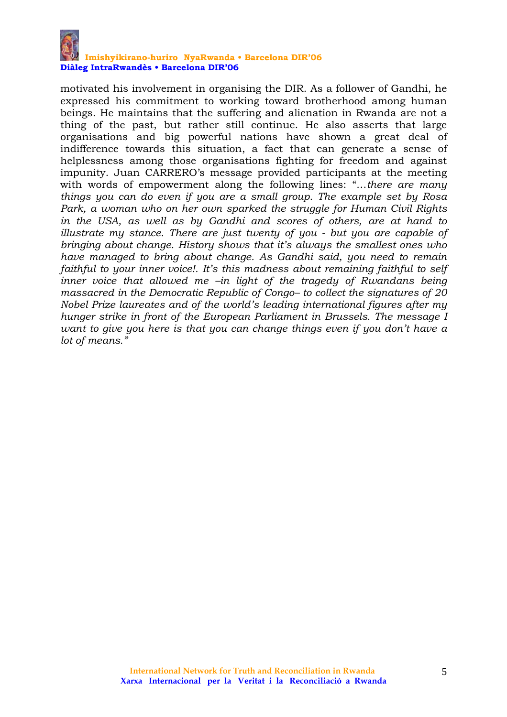

#### **Imishyikirano-huriro NyaRwanda • Barcelona DIR'06 Diàleg IntraRwandès • Barcelona DIR'06**

motivated his involvement in organising the DIR. As a follower of Gandhi, he expressed his commitment to working toward brotherhood among human beings. He maintains that the suffering and alienation in Rwanda are not a thing of the past, but rather still continue. He also asserts that large organisations and big powerful nations have shown a great deal of indifference towards this situation, a fact that can generate a sense of helplessness among those organisations fighting for freedom and against impunity. Juan CARRERO's message provided participants at the meeting with words of empowerment along the following lines: "…*there are many things you can do even if you are a small group. The example set by Rosa Park, a woman who on her own sparked the struggle for Human Civil Rights in the USA, as well as by Gandhi and scores of others, are at hand to illustrate my stance. There are just twenty of you - but you are capable of bringing about change. History shows that it's always the smallest ones who have managed to bring about change. As Gandhi said, you need to remain faithful to your inner voice!. It's this madness about remaining faithful to self inner voice that allowed me –in light of the tragedy of Rwandans being massacred in the Democratic Republic of Congo– to collect the signatures of 20 Nobel Prize laureates and of the world's leading international figures after my hunger strike in front of the European Parliament in Brussels. The message I want to give you here is that you can change things even if you don't have a lot of means."*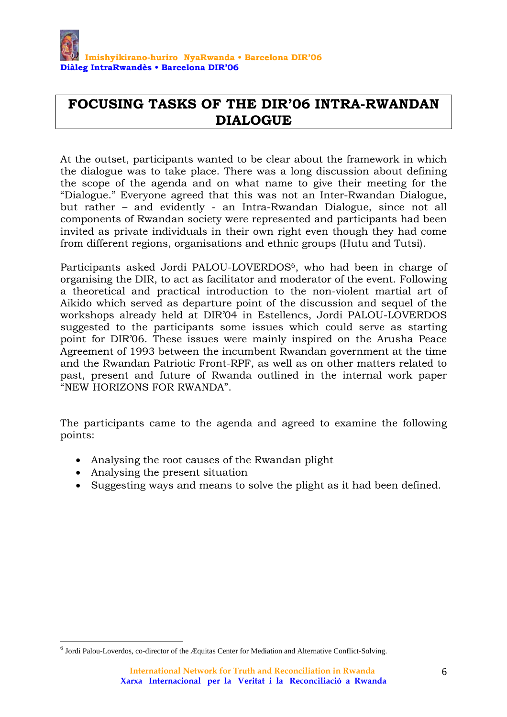

# **FOCUSING TASKS OF THE DIR'06 INTRA-RWANDAN DIALOGUE**

At the outset, participants wanted to be clear about the framework in which the dialogue was to take place. There was a long discussion about defining the scope of the agenda and on what name to give their meeting for the "Dialogue." Everyone agreed that this was not an Inter-Rwandan Dialogue, but rather – and evidently - an Intra-Rwandan Dialogue, since not all components of Rwandan society were represented and participants had been invited as private individuals in their own right even though they had come from different regions, organisations and ethnic groups (Hutu and Tutsi).

Participants asked Jordi PALOU-LOVERDOS<sup>6</sup>, who had been in charge of organising the DIR, to act as facilitator and moderator of the event. Following a theoretical and practical introduction to the non-violent martial art of Aikido which served as departure point of the discussion and sequel of the workshops already held at DIR'04 in Estellencs, Jordi PALOU-LOVERDOS suggested to the participants some issues which could serve as starting point for DIR'06. These issues were mainly inspired on the Arusha Peace Agreement of 1993 between the incumbent Rwandan government at the time and the Rwandan Patriotic Front-RPF, as well as on other matters related to past, present and future of Rwanda outlined in the internal work paper "NEW HORIZONS FOR RWANDA".

The participants came to the agenda and agreed to examine the following points:

- Analysing the root causes of the Rwandan plight
- Analysing the present situation

<u>.</u>

• Suggesting ways and means to solve the plight as it had been defined.

<sup>6</sup> Jordi Palou-Loverdos, co-director of the Æquitas Center for Mediation and Alternative Conflict-Solving.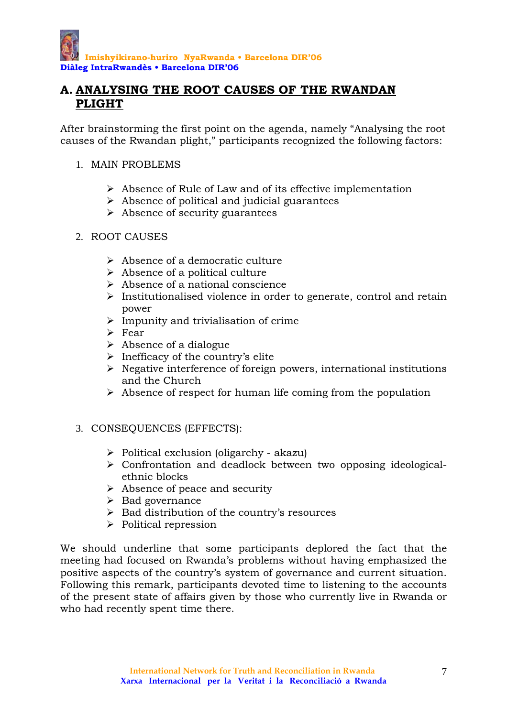# **A. ANALYSING THE ROOT CAUSES OF THE RWANDAN PLIGHT**

After brainstorming the first point on the agenda, namely "Analysing the root causes of the Rwandan plight," participants recognized the following factors:

#### 1. MAIN PROBLEMS

- $\triangleright$  Absence of Rule of Law and of its effective implementation
- $\triangleright$  Absence of political and judicial guarantees
- $\triangleright$  Absence of security guarantees
- 2. ROOT CAUSES
	- $\triangleright$  Absence of a democratic culture
	- $\triangleright$  Absence of a political culture
	- $\triangleright$  Absence of a national conscience
	- $\triangleright$  Institutionalised violence in order to generate, control and retain power
	- $\triangleright$  Impunity and trivialisation of crime
	- $\triangleright$  Fear
	- $\triangleright$  Absence of a dialogue
	- $\triangleright$  Inefficacy of the country's elite
	- $\triangleright$  Negative interference of foreign powers, international institutions and the Church
	- $\triangleright$  Absence of respect for human life coming from the population
- 3. CONSEQUENCES (EFFECTS):
	- $\triangleright$  Political exclusion (oligarchy akazu)
	- ¾ Confrontation and deadlock between two opposing ideologicalethnic blocks
	- $\triangleright$  Absence of peace and security
	- $\triangleright$  Bad governance
	- $\triangleright$  Bad distribution of the country's resources
	- $\triangleright$  Political repression

We should underline that some participants deplored the fact that the meeting had focused on Rwanda's problems without having emphasized the positive aspects of the country's system of governance and current situation. Following this remark, participants devoted time to listening to the accounts of the present state of affairs given by those who currently live in Rwanda or who had recently spent time there.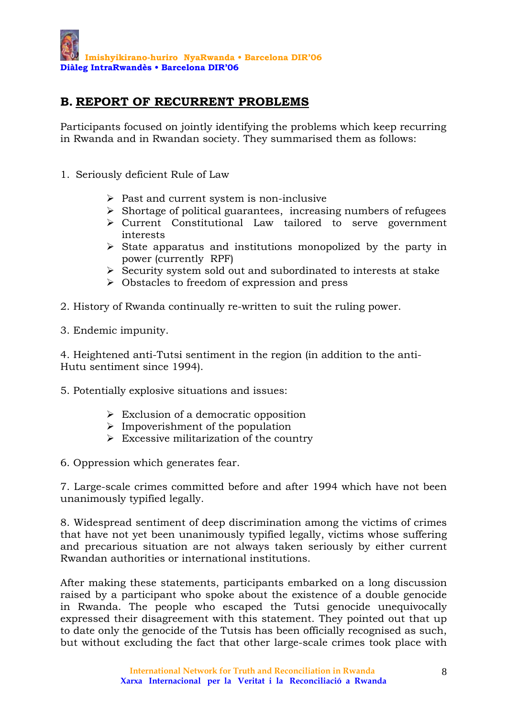## **B. REPORT OF RECURRENT PROBLEMS**

Participants focused on jointly identifying the problems which keep recurring in Rwanda and in Rwandan society. They summarised them as follows:

- 1. Seriously deficient Rule of Law
	- $\triangleright$  Past and current system is non-inclusive
	- $\triangleright$  Shortage of political guarantees, increasing numbers of refugees
	- ¾ Current Constitutional Law tailored to serve government interests
	- $\triangleright$  State apparatus and institutions monopolized by the party in power (currently RPF)
	- $\triangleright$  Security system sold out and subordinated to interests at stake
	- $\triangleright$  Obstacles to freedom of expression and press
- 2. History of Rwanda continually re-written to suit the ruling power.
- 3. Endemic impunity.

4. Heightened anti-Tutsi sentiment in the region (in addition to the anti-Hutu sentiment since 1994).

5. Potentially explosive situations and issues:

- $\triangleright$  Exclusion of a democratic opposition
- $\triangleright$  Impoverishment of the population
- $\triangleright$  Excessive militarization of the country

6. Oppression which generates fear.

7. Large-scale crimes committed before and after 1994 which have not been unanimously typified legally.

8. Widespread sentiment of deep discrimination among the victims of crimes that have not yet been unanimously typified legally, victims whose suffering and precarious situation are not always taken seriously by either current Rwandan authorities or international institutions.

After making these statements, participants embarked on a long discussion raised by a participant who spoke about the existence of a double genocide in Rwanda. The people who escaped the Tutsi genocide unequivocally expressed their disagreement with this statement. They pointed out that up to date only the genocide of the Tutsis has been officially recognised as such, but without excluding the fact that other large-scale crimes took place with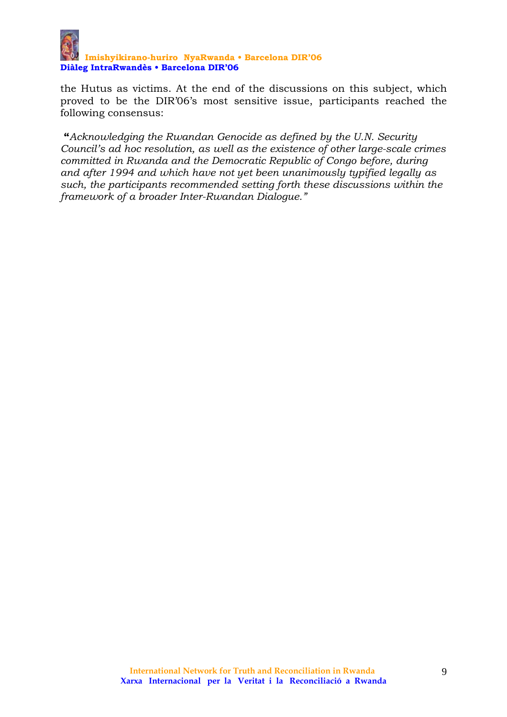

the Hutus as victims. At the end of the discussions on this subject, which proved to be the DIR'06's most sensitive issue, participants reached the following consensus:

 **"***Acknowledging the Rwandan Genocide as defined by the U.N. Security Council's ad hoc resolution, as well as the existence of other large-scale crimes committed in Rwanda and the Democratic Republic of Congo before, during and after 1994 and which have not yet been unanimously typified legally as such, the participants recommended setting forth these discussions within the framework of a broader Inter-Rwandan Dialogue."*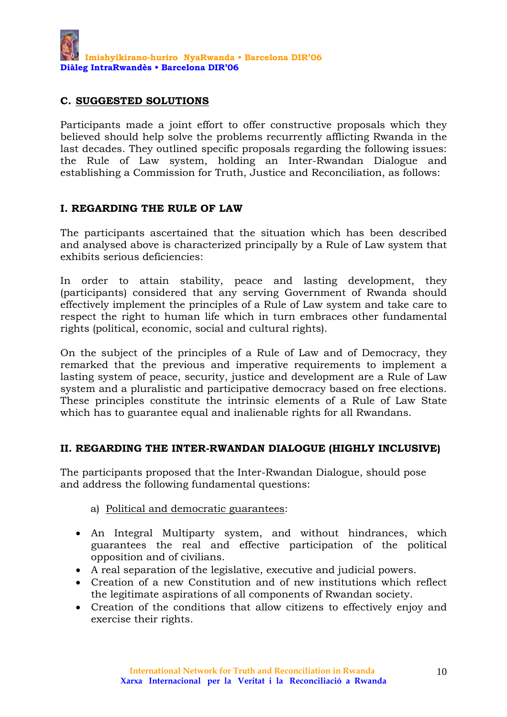#### **C. SUGGESTED SOLUTIONS**

Participants made a joint effort to offer constructive proposals which they believed should help solve the problems recurrently afflicting Rwanda in the last decades. They outlined specific proposals regarding the following issues: the Rule of Law system, holding an Inter-Rwandan Dialogue and establishing a Commission for Truth, Justice and Reconciliation, as follows:

#### **I. REGARDING THE RULE OF LAW**

The participants ascertained that the situation which has been described and analysed above is characterized principally by a Rule of Law system that exhibits serious deficiencies:

In order to attain stability, peace and lasting development, they (participants) considered that any serving Government of Rwanda should effectively implement the principles of a Rule of Law system and take care to respect the right to human life which in turn embraces other fundamental rights (political, economic, social and cultural rights).

On the subject of the principles of a Rule of Law and of Democracy, they remarked that the previous and imperative requirements to implement a lasting system of peace, security, justice and development are a Rule of Law system and a pluralistic and participative democracy based on free elections. These principles constitute the intrinsic elements of a Rule of Law State which has to guarantee equal and inalienable rights for all Rwandans.

#### **II. REGARDING THE INTER-RWANDAN DIALOGUE (HIGHLY INCLUSIVE)**

The participants proposed that the Inter-Rwandan Dialogue, should pose and address the following fundamental questions:

- a) Political and democratic guarantees:
- An Integral Multiparty system, and without hindrances, which guarantees the real and effective participation of the political opposition and of civilians.
- A real separation of the legislative, executive and judicial powers.
- Creation of a new Constitution and of new institutions which reflect the legitimate aspirations of all components of Rwandan society.
- Creation of the conditions that allow citizens to effectively enjoy and exercise their rights.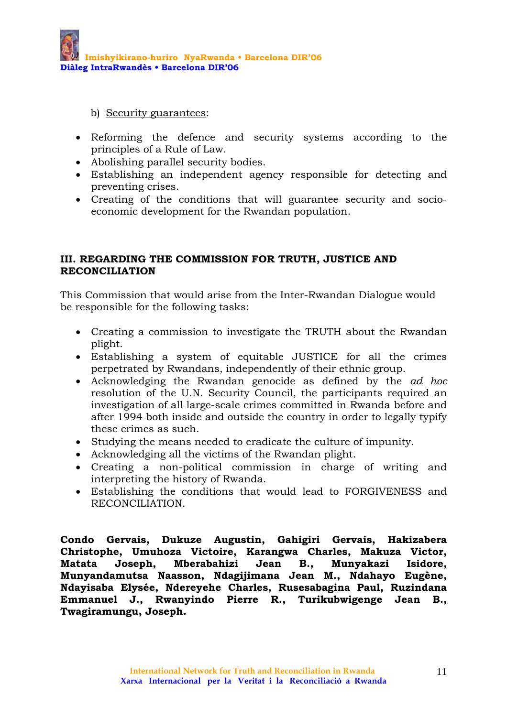b) Security guarantees:

- Reforming the defence and security systems according to the principles of a Rule of Law.
- Abolishing parallel security bodies.
- Establishing an independent agency responsible for detecting and preventing crises.
- Creating of the conditions that will guarantee security and socioeconomic development for the Rwandan population.

#### **III. REGARDING THE COMMISSION FOR TRUTH, JUSTICE AND RECONCILIATION**

This Commission that would arise from the Inter-Rwandan Dialogue would be responsible for the following tasks:

- Creating a commission to investigate the TRUTH about the Rwandan plight.
- Establishing a system of equitable JUSTICE for all the crimes perpetrated by Rwandans, independently of their ethnic group.
- Acknowledging the Rwandan genocide as defined by the *ad hoc* resolution of the U.N. Security Council, the participants required an investigation of all large-scale crimes committed in Rwanda before and after 1994 both inside and outside the country in order to legally typify these crimes as such.
- Studying the means needed to eradicate the culture of impunity.
- Acknowledging all the victims of the Rwandan plight.
- Creating a non-political commission in charge of writing and interpreting the history of Rwanda.
- Establishing the conditions that would lead to FORGIVENESS and RECONCILIATION.

**Condo Gervais, Dukuze Augustin, Gahigiri Gervais, Hakizabera Christophe, Umuhoza Victoire, Karangwa Charles, Makuza Victor, Matata Joseph, Mberabahizi Jean B., Munyakazi Isidore, Munyandamutsa Naasson, Ndagijimana Jean M., Ndahayo Eugène, Ndayisaba Elysée, Ndereyehe Charles, Rusesabagina Paul, Ruzindana Emmanuel J., Rwanyindo Pierre R., Turikubwigenge Jean B., Twagiramungu, Joseph.**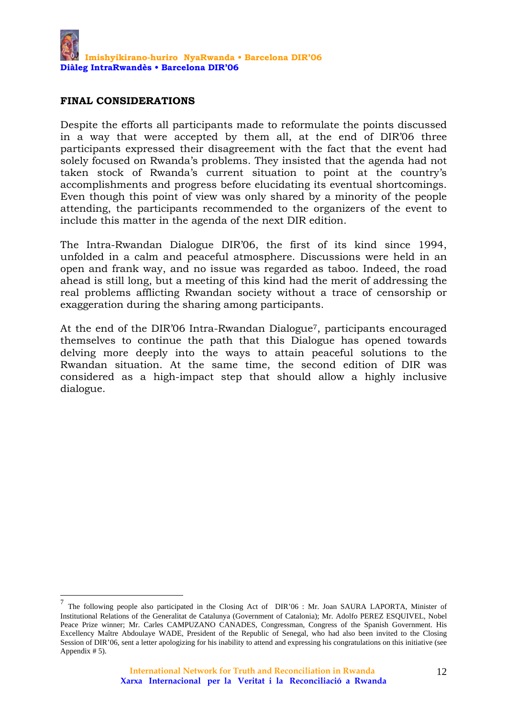#### **FINAL CONSIDERATIONS**

 $\overline{a}$ 

Despite the efforts all participants made to reformulate the points discussed in a way that were accepted by them all, at the end of DIR'06 three participants expressed their disagreement with the fact that the event had solely focused on Rwanda's problems. They insisted that the agenda had not taken stock of Rwanda's current situation to point at the country's accomplishments and progress before elucidating its eventual shortcomings. Even though this point of view was only shared by a minority of the people attending, the participants recommended to the organizers of the event to include this matter in the agenda of the next DIR edition.

The Intra-Rwandan Dialogue DIR'06, the first of its kind since 1994, unfolded in a calm and peaceful atmosphere. Discussions were held in an open and frank way, and no issue was regarded as taboo. Indeed, the road ahead is still long, but a meeting of this kind had the merit of addressing the real problems afflicting Rwandan society without a trace of censorship or exaggeration during the sharing among participants.

At the end of the DIR'06 Intra-Rwandan Dialogue7, participants encouraged themselves to continue the path that this Dialogue has opened towards delving more deeply into the ways to attain peaceful solutions to the Rwandan situation. At the same time, the second edition of DIR was considered as a high-impact step that should allow a highly inclusive dialogue.

<sup>&</sup>lt;sup>7</sup> The following people also participated in the Closing Act of DIR'06 : Mr. Joan SAURA LAPORTA, Minister of Institutional Relations of the Generalitat de Catalunya (Government of Catalonia); Mr. Adolfo PEREZ ESQUIVEL, Nobel Peace Prize winner; Mr. Carles CAMPUZANO CANADES, Congressman, Congress of the Spanish Government. His Excellency Maître Abdoulaye WADE, President of the Republic of Senegal, who had also been invited to the Closing Session of DIR'06, sent a letter apologizing for his inability to attend and expressing his congratulations on this initiative (see Appendix # 5).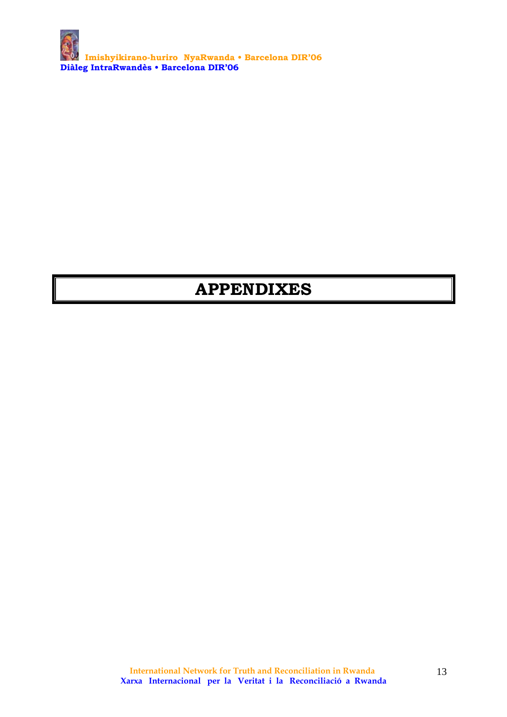**Imishyikirano-huriro NyaRwanda • Barcelona DIR'06 Diàleg IntraRwandès • Barcelona DIR'06** 

# **APPENDIXES**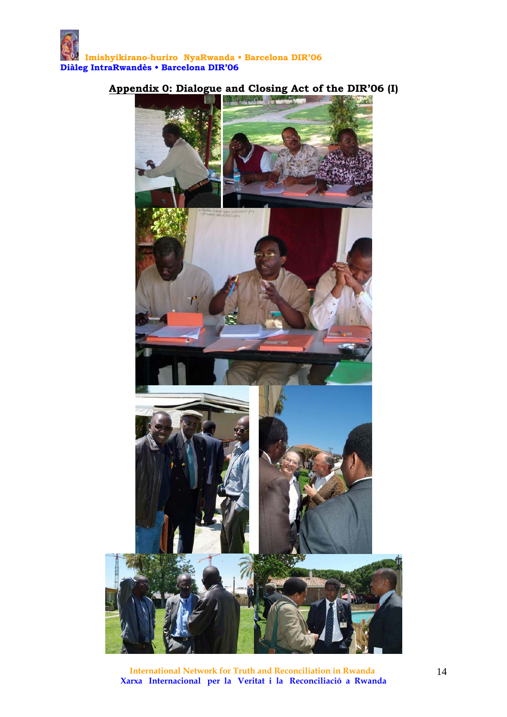

#### **Appendix 0: Dialogue and Closing Act of the DIR'06 (I)**

 **International Network for Truth and Reconciliation in Rwanda Xarxa Internacional per la Veritat i la Reconciliació a Rwanda**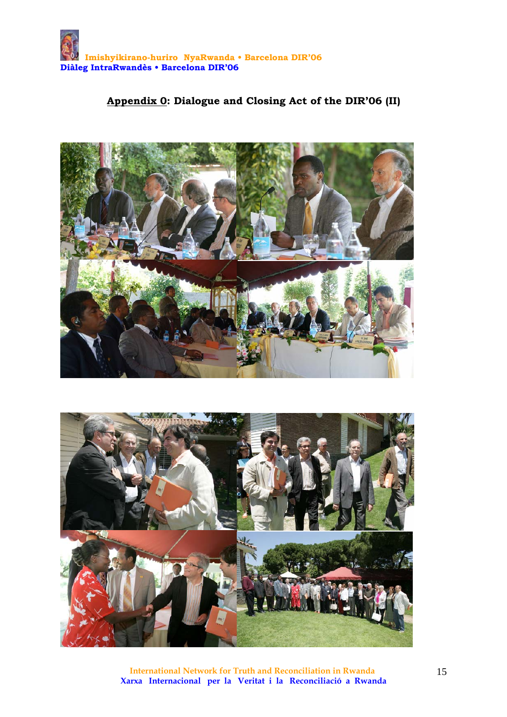## **Appendix 0: Dialogue and Closing Act of the DIR'06 (II)**





 **International Network for Truth and Reconciliation in Rwanda Xarxa Internacional per la Veritat i la Reconciliació a Rwanda**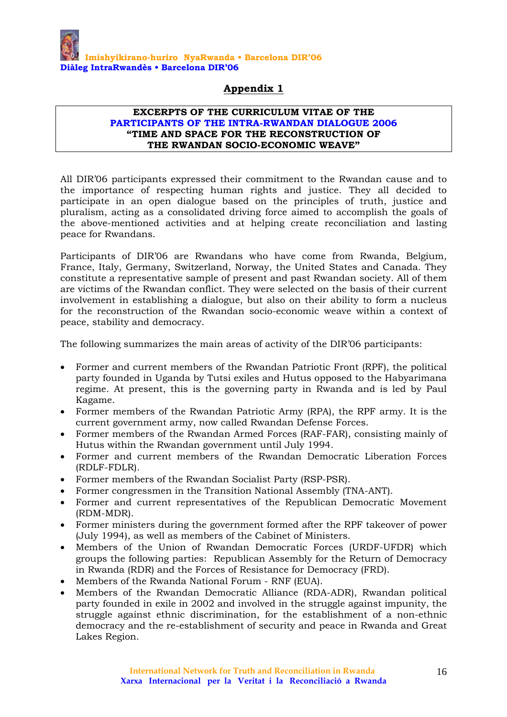

#### **EXCERPTS OF THE CURRICULUM VITAE OF THE PARTICIPANTS OF THE INTRA-RWANDAN DIALOGUE 2006 "TIME AND SPACE FOR THE RECONSTRUCTION OF THE RWANDAN SOCIO-ECONOMIC WEAVE"**

All DIR'06 participants expressed their commitment to the Rwandan cause and to the importance of respecting human rights and justice. They all decided to participate in an open dialogue based on the principles of truth, justice and pluralism, acting as a consolidated driving force aimed to accomplish the goals of the above-mentioned activities and at helping create reconciliation and lasting peace for Rwandans.

Participants of DIR'06 are Rwandans who have come from Rwanda, Belgium, France, Italy, Germany, Switzerland, Norway, the United States and Canada. They constitute a representative sample of present and past Rwandan society. All of them are victims of the Rwandan conflict. They were selected on the basis of their current involvement in establishing a dialogue, but also on their ability to form a nucleus for the reconstruction of the Rwandan socio-economic weave within a context of peace, stability and democracy.

The following summarizes the main areas of activity of the DIR'06 participants:

- Former and current members of the Rwandan Patriotic Front (RPF), the political party founded in Uganda by Tutsi exiles and Hutus opposed to the Habyarimana regime. At present, this is the governing party in Rwanda and is led by Paul Kagame.
- Former members of the Rwandan Patriotic Army (RPA), the RPF army. It is the current government army, now called Rwandan Defense Forces.
- Former members of the Rwandan Armed Forces (RAF-FAR), consisting mainly of Hutus within the Rwandan government until July 1994.
- Former and current members of the Rwandan Democratic Liberation Forces (RDLF-FDLR).
- Former members of the Rwandan Socialist Party (RSP-PSR).
- Former congressmen in the Transition National Assembly (TNA-ANT).
- Former and current representatives of the Republican Democratic Movement (RDM-MDR).
- Former ministers during the government formed after the RPF takeover of power (July 1994), as well as members of the Cabinet of Ministers.
- Members of the Union of Rwandan Democratic Forces (URDF-UFDR) which groups the following parties: Republican Assembly for the Return of Democracy in Rwanda (RDR) and the Forces of Resistance for Democracy (FRD).
- Members of the Rwanda National Forum RNF (EUA).
- Members of the Rwandan Democratic Alliance (RDA-ADR), Rwandan political party founded in exile in 2002 and involved in the struggle against impunity, the struggle against ethnic discrimination, for the establishment of a non-ethnic democracy and the re-establishment of security and peace in Rwanda and Great Lakes Region.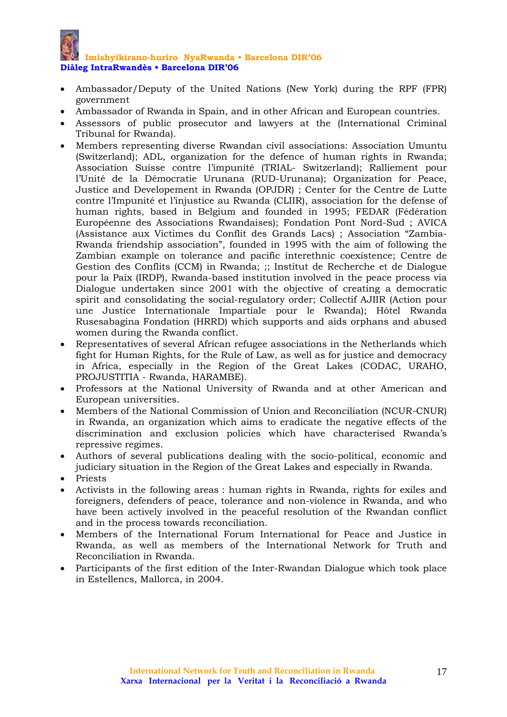#### **Imishyikirano-huriro NyaRwanda • Barcelona DIR'06 Diàleg IntraRwandès • Barcelona DIR'06**

- Ambassador/Deputy of the United Nations (New York) during the RPF (FPR) government
- Ambassador of Rwanda in Spain, and in other African and European countries.
- Assessors of public prosecutor and lawyers at the (International Criminal Tribunal for Rwanda).
- Members representing diverse Rwandan civil associations: Association Umuntu (Switzerland); ADL, organization for the defence of human rights in Rwanda; Association Suisse contre l'impunité (TRIAL- Switzerland); Ralliement pour l'Unité de la Démocratie Urunana (RUD-Urunana); Organization for Peace, Justice and Developement in Rwanda (OPJDR) ; Center for the Centre de Lutte contre l'Impunité et l'injustice au Rwanda (CLIIR), association for the defense of human rights, based in Belgium and founded in 1995; FEDAR (Fédération Européenne des Associations Rwandaises); Fondation Pont Nord-Sud ; AVICA (Assistance aux Victimes du Conflit des Grands Lacs) ; Association "Zambia-Rwanda friendship association", founded in 1995 with the aim of following the Zambian example on tolerance and pacific interethnic coexistence; Centre de Gestion des Conflits (CCM) in Rwanda; ;; Institut de Recherche et de Dialogue pour la Paix (IRDP), Rwanda-based institution involved in the peace process via Dialogue undertaken since 2001 with the objective of creating a democratic spirit and consolidating the social-regulatory order; Collectif AJIIR (Action pour une Justice Internationale Impartiale pour le Rwanda); Hôtel Rwanda Rusesabagina Fondation (HRRD) which supports and aids orphans and abused women during the Rwanda conflict.
- Representatives of several African refugee associations in the Netherlands which fight for Human Rights, for the Rule of Law, as well as for justice and democracy in Africa, especially in the Region of the Great Lakes (CODAC, URAHO, PROJUSTITIA - Rwanda, HARAMBE).
- Professors at the National University of Rwanda and at other American and European universities.
- Members of the National Commission of Union and Reconciliation (NCUR-CNUR) in Rwanda, an organization which aims to eradicate the negative effects of the discrimination and exclusion policies which have characterised Rwanda's repressive regimes.
- Authors of several publications dealing with the socio-political, economic and judiciary situation in the Region of the Great Lakes and especially in Rwanda.
- Priests
- Activists in the following areas : human rights in Rwanda, rights for exiles and foreigners, defenders of peace, tolerance and non-violence in Rwanda, and who have been actively involved in the peaceful resolution of the Rwandan conflict and in the process towards reconciliation.
- Members of the International Forum International for Peace and Justice in Rwanda, as well as members of the International Network for Truth and Reconciliation in Rwanda.
- Participants of the first edition of the Inter-Rwandan Dialogue which took place in Estellencs, Mallorca, in 2004.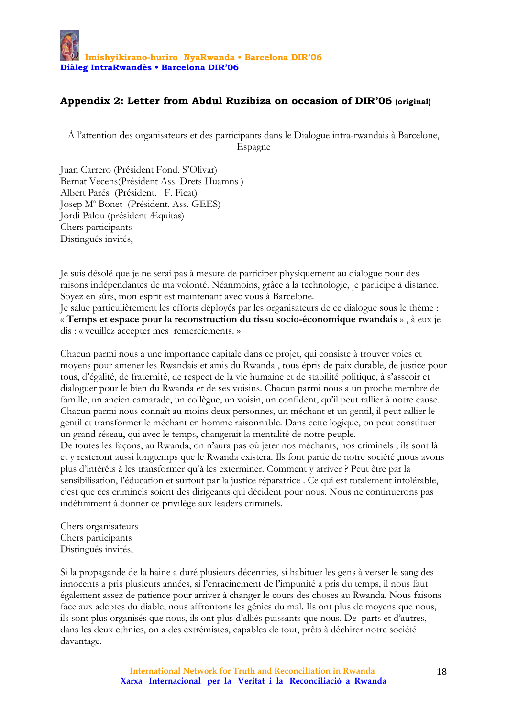#### **Appendix 2: Letter from Abdul Ruzibiza on occasion of DIR'06 (original)**

À l'attention des organisateurs et des participants dans le Dialogue intra-rwandais à Barcelone, Espagne

Juan Carrero (Président Fond. S'Olivar) Bernat Vecens(Président Ass. Drets Huamns ) Albert Parés (Président. F. Ficat) Josep Mª Bonet (Président. Ass. GEES) Jordi Palou (président Æquitas) Chers participants Distingués invités,

Je suis désolé que je ne serai pas à mesure de participer physiquement au dialogue pour des raisons indépendantes de ma volonté. Néanmoins, grâce à la technologie, je participe à distance. Soyez en sûrs, mon esprit est maintenant avec vous à Barcelone.

Je salue particulièrement les efforts déployés par les organisateurs de ce dialogue sous le thème : « **Temps et espace pour la reconstruction du tissu socio-économique rwandais** » , à eux je dis : « veuillez accepter mes remerciements. »

Chacun parmi nous a une importance capitale dans ce projet, qui consiste à trouver voies et moyens pour amener les Rwandais et amis du Rwanda , tous épris de paix durable, de justice pour tous, d'égalité, de fraternité, de respect de la vie humaine et de stabilité politique, à s'asseoir et dialoguer pour le bien du Rwanda et de ses voisins. Chacun parmi nous a un proche membre de famille, un ancien camarade, un collègue, un voisin, un confident, qu'il peut rallier à notre cause. Chacun parmi nous connaît au moins deux personnes, un méchant et un gentil, il peut rallier le gentil et transformer le méchant en homme raisonnable. Dans cette logique, on peut constituer un grand réseau, qui avec le temps, changerait la mentalité de notre peuple. De toutes les façons, au Rwanda, on n'aura pas où jeter nos méchants, nos criminels ; ils sont là et y resteront aussi longtemps que le Rwanda existera. Ils font partie de notre société ,nous avons plus d'intérêts à les transformer qu'à les exterminer. Comment y arriver ? Peut être par la sensibilisation, l'éducation et surtout par la justice réparatrice . Ce qui est totalement intolérable, c'est que ces criminels soient des dirigeants qui décident pour nous. Nous ne continuerons pas indéfiniment à donner ce privilège aux leaders criminels.

Chers organisateurs Chers participants Distingués invités,

Si la propagande de la haine a duré plusieurs décennies, si habituer les gens à verser le sang des innocents a pris plusieurs années, si l'enracinement de l'impunité a pris du temps, il nous faut également assez de patience pour arriver à changer le cours des choses au Rwanda. Nous faisons face aux adeptes du diable, nous affrontons les génies du mal. Ils ont plus de moyens que nous, ils sont plus organisés que nous, ils ont plus d'alliés puissants que nous. De parts et d'autres, dans les deux ethnies, on a des extrémistes, capables de tout, prêts à déchirer notre société davantage.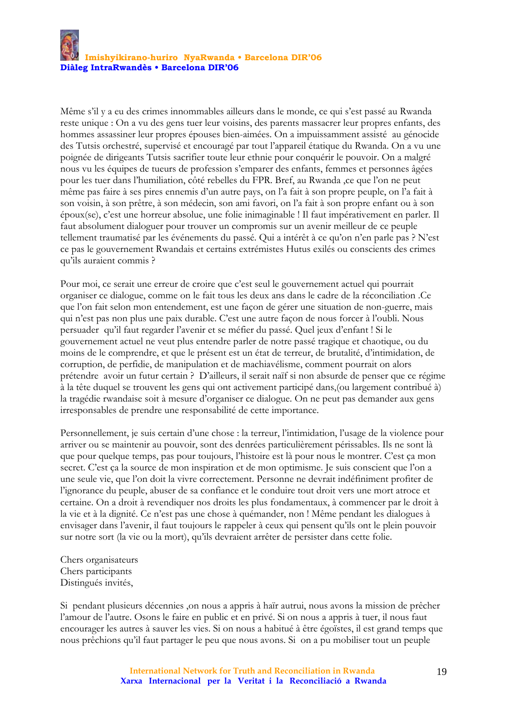Même s'il y a eu des crimes innommables ailleurs dans le monde, ce qui s'est passé au Rwanda reste unique : On a vu des gens tuer leur voisins, des parents massacrer leur propres enfants, des hommes assassiner leur propres épouses bien-aimées. On a impuissamment assisté au génocide des Tutsis orchestré, supervisé et encouragé par tout l'appareil étatique du Rwanda. On a vu une poignée de dirigeants Tutsis sacrifier toute leur ethnie pour conquérir le pouvoir. On a malgré nous vu les équipes de tueurs de profession s'emparer des enfants, femmes et personnes âgées pour les tuer dans l'humiliation, côté rebelles du FPR. Bref, au Rwanda ,ce que l'on ne peut même pas faire à ses pires ennemis d'un autre pays, on l'a fait à son propre peuple, on l'a fait à son voisin, à son prêtre, à son médecin, son ami favori, on l'a fait à son propre enfant ou à son époux(se), c'est une horreur absolue, une folie inimaginable ! Il faut impérativement en parler. Il faut absolument dialoguer pour trouver un compromis sur un avenir meilleur de ce peuple tellement traumatisé par les événements du passé. Qui a intérêt à ce qu'on n'en parle pas ? N'est ce pas le gouvernement Rwandais et certains extrémistes Hutus exilés ou conscients des crimes qu'ils auraient commis ?

Pour moi, ce serait une erreur de croire que c'est seul le gouvernement actuel qui pourrait organiser ce dialogue, comme on le fait tous les deux ans dans le cadre de la réconciliation .Ce que l'on fait selon mon entendement, est une façon de gérer une situation de non-guerre, mais qui n'est pas non plus une paix durable. C'est une autre façon de nous forcer à l'oubli. Nous persuader qu'il faut regarder l'avenir et se méfier du passé. Quel jeux d'enfant ! Si le gouvernement actuel ne veut plus entendre parler de notre passé tragique et chaotique, ou du moins de le comprendre, et que le présent est un état de terreur, de brutalité, d'intimidation, de corruption, de perfidie, de manipulation et de machiavélisme, comment pourrait on alors prétendre avoir un futur certain ? D'ailleurs, il serait naïf si non absurde de penser que ce régime à la tête duquel se trouvent les gens qui ont activement participé dans,(ou largement contribué à) la tragédie rwandaise soit à mesure d'organiser ce dialogue. On ne peut pas demander aux gens irresponsables de prendre une responsabilité de cette importance.

Personnellement, je suis certain d'une chose : la terreur, l'intimidation, l'usage de la violence pour arriver ou se maintenir au pouvoir, sont des denrées particulièrement périssables. Ils ne sont là que pour quelque temps, pas pour toujours, l'histoire est là pour nous le montrer. C'est ça mon secret. C'est ça la source de mon inspiration et de mon optimisme. Je suis conscient que l'on a une seule vie, que l'on doit la vivre correctement. Personne ne devrait indéfiniment profiter de l'ignorance du peuple, abuser de sa confiance et le conduire tout droit vers une mort atroce et certaine. On a droit à revendiquer nos droits les plus fondamentaux, à commencer par le droit à la vie et à la dignité. Ce n'est pas une chose à quémander, non ! Même pendant les dialogues à envisager dans l'avenir, il faut toujours le rappeler à ceux qui pensent qu'ils ont le plein pouvoir sur notre sort (la vie ou la mort), qu'ils devraient arrêter de persister dans cette folie.

Chers organisateurs Chers participants Distingués invités,

Si pendant plusieurs décennies ,on nous a appris à haïr autrui, nous avons la mission de prêcher l'amour de l'autre. Osons le faire en public et en privé. Si on nous a appris à tuer, il nous faut encourager les autres à sauver les vies. Si on nous a habitué à être égoïstes, il est grand temps que nous prêchions qu'il faut partager le peu que nous avons. Si on a pu mobiliser tout un peuple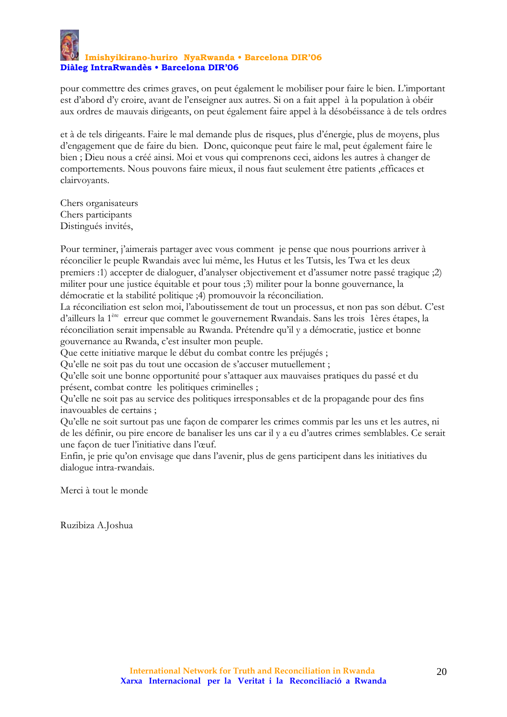pour commettre des crimes graves, on peut également le mobiliser pour faire le bien. L'important est d'abord d'y croire, avant de l'enseigner aux autres. Si on a fait appel à la population à obéir aux ordres de mauvais dirigeants, on peut également faire appel à la désobéissance à de tels ordres

et à de tels dirigeants. Faire le mal demande plus de risques, plus d'énergie, plus de moyens, plus d'engagement que de faire du bien. Donc, quiconque peut faire le mal, peut également faire le bien ; Dieu nous a créé ainsi. Moi et vous qui comprenons ceci, aidons les autres à changer de comportements. Nous pouvons faire mieux, il nous faut seulement être patients ,efficaces et clairvoyants.

Chers organisateurs Chers participants Distingués invités,

Pour terminer, j'aimerais partager avec vous comment je pense que nous pourrions arriver à réconcilier le peuple Rwandais avec lui même, les Hutus et les Tutsis, les Twa et les deux premiers :1) accepter de dialoguer, d'analyser objectivement et d'assumer notre passé tragique ;2) militer pour une justice équitable et pour tous ;3) militer pour la bonne gouvernance, la démocratie et la stabilité politique ;4) promouvoir la réconciliation.

La réconciliation est selon moi, l'aboutissement de tout un processus, et non pas son début. C'est d'ailleurs la 1ère erreur que commet le gouvernement Rwandais. Sans les trois 1ères étapes, la réconciliation serait impensable au Rwanda. Prétendre qu'il y a démocratie, justice et bonne gouvernance au Rwanda, c'est insulter mon peuple.

Que cette initiative marque le début du combat contre les préjugés ;

Qu'elle ne soit pas du tout une occasion de s'accuser mutuellement ;

Qu'elle soit une bonne opportunité pour s'attaquer aux mauvaises pratiques du passé et du présent, combat contre les politiques criminelles ;

Qu'elle ne soit pas au service des politiques irresponsables et de la propagande pour des fins inavouables de certains ;

Qu'elle ne soit surtout pas une façon de comparer les crimes commis par les uns et les autres, ni de les définir, ou pire encore de banaliser les uns car il y a eu d'autres crimes semblables. Ce serait une façon de tuer l'initiative dans l'œuf.

Enfin, je prie qu'on envisage que dans l'avenir, plus de gens participent dans les initiatives du dialogue intra-rwandais.

Merci à tout le monde

Ruzibiza A.Joshua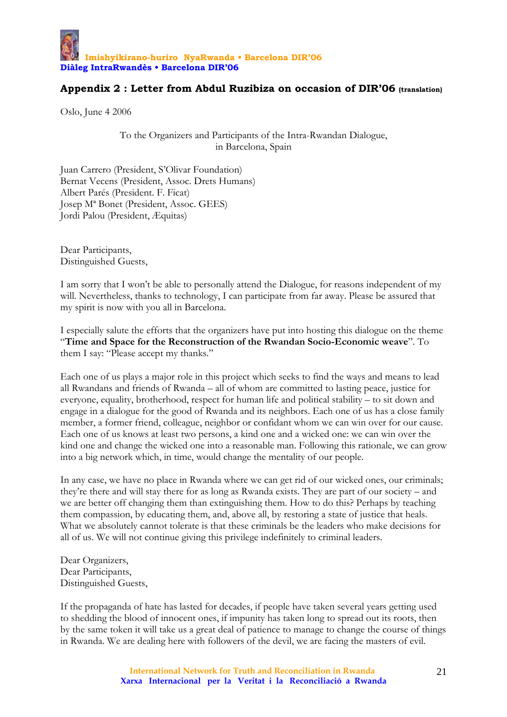

#### **Appendix 2 : Letter from Abdul Ruzibiza on occasion of DIR'06 (translation)**

Oslo, June 4 2006

To the Organizers and Participants of the Intra-Rwandan Dialogue, in Barcelona, Spain

Juan Carrero (President, S'Olivar Foundation) Bernat Vecens (President, Assoc. Drets Humans) Albert Parés (President. F. Ficat) Josep Mª Bonet (President, Assoc. GEES) Jordi Palou (President, Æquitas)

Dear Participants, Distinguished Guests,

I am sorry that I won't be able to personally attend the Dialogue, for reasons independent of my will. Nevertheless, thanks to technology, I can participate from far away. Please be assured that my spirit is now with you all in Barcelona.

I especially salute the efforts that the organizers have put into hosting this dialogue on the theme "**Time and Space for the Reconstruction of the Rwandan Socio-Economic weave**". To them I say: "Please accept my thanks."

Each one of us plays a major role in this project which seeks to find the ways and means to lead all Rwandans and friends of Rwanda – all of whom are committed to lasting peace, justice for everyone, equality, brotherhood, respect for human life and political stability – to sit down and engage in a dialogue for the good of Rwanda and its neighbors. Each one of us has a close family member, a former friend, colleague, neighbor or confidant whom we can win over for our cause. Each one of us knows at least two persons, a kind one and a wicked one: we can win over the kind one and change the wicked one into a reasonable man. Following this rationale, we can grow into a big network which, in time, would change the mentality of our people.

In any case, we have no place in Rwanda where we can get rid of our wicked ones, our criminals; they're there and will stay there for as long as Rwanda exists. They are part of our society – and we are better off changing them than extinguishing them. How to do this? Perhaps by teaching them compassion, by educating them, and, above all, by restoring a state of justice that heals. What we absolutely cannot tolerate is that these criminals be the leaders who make decisions for all of us. We will not continue giving this privilege indefinitely to criminal leaders.

Dear Organizers, Dear Participants, Distinguished Guests,

If the propaganda of hate has lasted for decades, if people have taken several years getting used to shedding the blood of innocent ones, if impunity has taken long to spread out its roots, then by the same token it will take us a great deal of patience to manage to change the course of things in Rwanda. We are dealing here with followers of the devil, we are facing the masters of evil.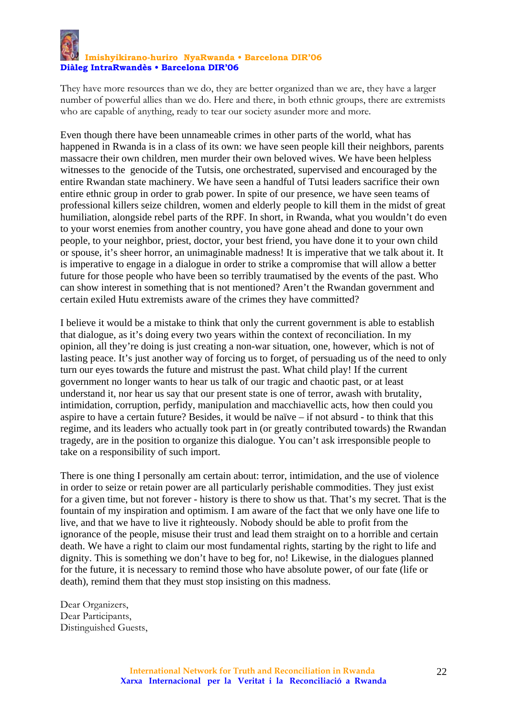# **Imishyikirano-huriro NyaRwanda • Barcelona DIR'06 Diàleg IntraRwandès • Barcelona DIR'06**

They have more resources than we do, they are better organized than we are, they have a larger number of powerful allies than we do. Here and there, in both ethnic groups, there are extremists who are capable of anything, ready to tear our society asunder more and more.

Even though there have been unnameable crimes in other parts of the world, what has happened in Rwanda is in a class of its own: we have seen people kill their neighbors, parents massacre their own children, men murder their own beloved wives. We have been helpless witnesses to the genocide of the Tutsis, one orchestrated, supervised and encouraged by the entire Rwandan state machinery. We have seen a handful of Tutsi leaders sacrifice their own entire ethnic group in order to grab power. In spite of our presence, we have seen teams of professional killers seize children, women and elderly people to kill them in the midst of great humiliation, alongside rebel parts of the RPF. In short, in Rwanda, what you wouldn't do even to your worst enemies from another country, you have gone ahead and done to your own people, to your neighbor, priest, doctor, your best friend, you have done it to your own child or spouse, it's sheer horror, an unimaginable madness! It is imperative that we talk about it. It is imperative to engage in a dialogue in order to strike a compromise that will allow a better future for those people who have been so terribly traumatised by the events of the past. Who can show interest in something that is not mentioned? Aren't the Rwandan government and certain exiled Hutu extremists aware of the crimes they have committed?

I believe it would be a mistake to think that only the current government is able to establish that dialogue, as it's doing every two years within the context of reconciliation. In my opinion, all they're doing is just creating a non-war situation, one, however, which is not of lasting peace. It's just another way of forcing us to forget, of persuading us of the need to only turn our eyes towards the future and mistrust the past. What child play! If the current government no longer wants to hear us talk of our tragic and chaotic past, or at least understand it, nor hear us say that our present state is one of terror, awash with brutality, intimidation, corruption, perfidy, manipulation and macchiavellic acts, how then could you aspire to have a certain future? Besides, it would be naïve – if not absurd - to think that this regime, and its leaders who actually took part in (or greatly contributed towards) the Rwandan tragedy, are in the position to organize this dialogue. You can't ask irresponsible people to take on a responsibility of such import.

There is one thing I personally am certain about: terror, intimidation, and the use of violence in order to seize or retain power are all particularly perishable commodities. They just exist for a given time, but not forever - history is there to show us that. That's my secret. That is the fountain of my inspiration and optimism. I am aware of the fact that we only have one life to live, and that we have to live it righteously. Nobody should be able to profit from the ignorance of the people, misuse their trust and lead them straight on to a horrible and certain death. We have a right to claim our most fundamental rights, starting by the right to life and dignity. This is something we don't have to beg for, no! Likewise, in the dialogues planned for the future, it is necessary to remind those who have absolute power, of our fate (life or death), remind them that they must stop insisting on this madness.

Dear Organizers, Dear Participants, Distinguished Guests,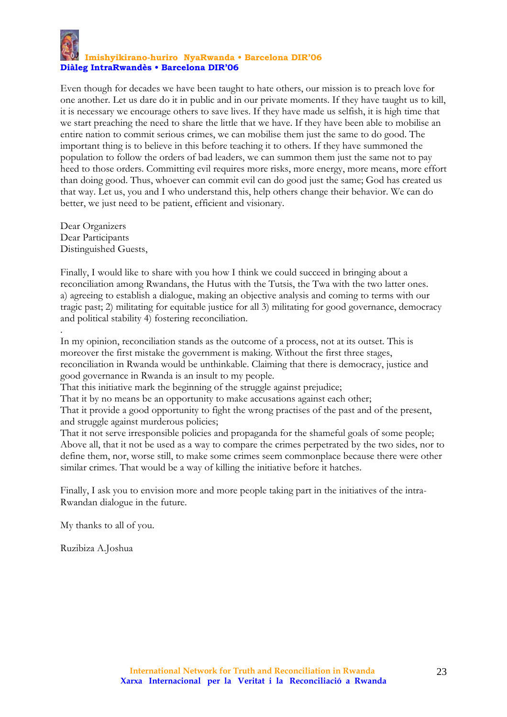

#### **Imishyikirano-huriro NyaRwanda • Barcelona DIR'06 Diàleg IntraRwandès • Barcelona DIR'06**

Even though for decades we have been taught to hate others, our mission is to preach love for one another. Let us dare do it in public and in our private moments. If they have taught us to kill, it is necessary we encourage others to save lives. If they have made us selfish, it is high time that we start preaching the need to share the little that we have. If they have been able to mobilise an entire nation to commit serious crimes, we can mobilise them just the same to do good. The important thing is to believe in this before teaching it to others. If they have summoned the population to follow the orders of bad leaders, we can summon them just the same not to pay heed to those orders. Committing evil requires more risks, more energy, more means, more effort than doing good. Thus, whoever can commit evil can do good just the same; God has created us that way. Let us, you and I who understand this, help others change their behavior. We can do better, we just need to be patient, efficient and visionary.

Dear Organizers Dear Participants Distinguished Guests,

.

Finally, I would like to share with you how I think we could succeed in bringing about a reconciliation among Rwandans, the Hutus with the Tutsis, the Twa with the two latter ones. a) agreeing to establish a dialogue, making an objective analysis and coming to terms with our tragic past; 2) militating for equitable justice for all 3) militating for good governance, democracy and political stability 4) fostering reconciliation.

In my opinion, reconciliation stands as the outcome of a process, not at its outset. This is moreover the first mistake the government is making. Without the first three stages, reconciliation in Rwanda would be unthinkable. Claiming that there is democracy, justice and good governance in Rwanda is an insult to my people.

That this initiative mark the beginning of the struggle against prejudice;

That it by no means be an opportunity to make accusations against each other;

That it provide a good opportunity to fight the wrong practises of the past and of the present, and struggle against murderous policies;

That it not serve irresponsible policies and propaganda for the shameful goals of some people; Above all, that it not be used as a way to compare the crimes perpetrated by the two sides, nor to define them, nor, worse still, to make some crimes seem commonplace because there were other similar crimes. That would be a way of killing the initiative before it hatches.

Finally, I ask you to envision more and more people taking part in the initiatives of the intra-Rwandan dialogue in the future.

My thanks to all of you.

Ruzibiza A.Joshua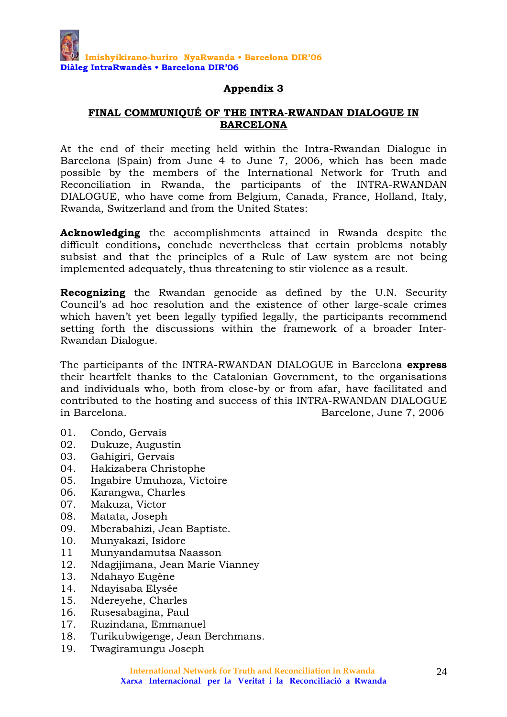#### **FINAL COMMUNIQUÉ OF THE INTRA-RWANDAN DIALOGUE IN BARCELONA**

At the end of their meeting held within the Intra-Rwandan Dialogue in Barcelona (Spain) from June 4 to June 7, 2006, which has been made possible by the members of the International Network for Truth and Reconciliation in Rwanda, the participants of the INTRA-RWANDAN DIALOGUE, who have come from Belgium, Canada, France, Holland, Italy, Rwanda, Switzerland and from the United States:

**Acknowledging** the accomplishments attained in Rwanda despite the difficult conditions**,** conclude nevertheless that certain problems notably subsist and that the principles of a Rule of Law system are not being implemented adequately, thus threatening to stir violence as a result.

**Recognizing** the Rwandan genocide as defined by the U.N. Security Council's ad hoc resolution and the existence of other large-scale crimes which haven't yet been legally typified legally, the participants recommend setting forth the discussions within the framework of a broader Inter-Rwandan Dialogue.

The participants of the INTRA-RWANDAN DIALOGUE in Barcelona **express** their heartfelt thanks to the Catalonian Government, to the organisations and individuals who, both from close-by or from afar, have facilitated and contributed to the hosting and success of this INTRA-RWANDAN DIALOGUE in Barcelona. Barcelone, June 7, 2006

- 01. Condo, Gervais
- 02. Dukuze, Augustin
- 03. Gahigiri, Gervais
- 04. Hakizabera Christophe
- 05. Ingabire Umuhoza, Victoire
- 06. Karangwa, Charles
- 07. Makuza, Victor
- 08. Matata, Joseph
- 09. Mberabahizi, Jean Baptiste.
- 10. Munyakazi, Isidore
- 11 Munyandamutsa Naasson
- 12. Ndagijimana, Jean Marie Vianney
- 13. Ndahayo Eugène
- 14. Ndayisaba Elysée
- 15. Ndereyehe, Charles
- 16. Rusesabagina, Paul
- 17. Ruzindana, Emmanuel
- 18. Turikubwigenge, Jean Berchmans.
- 19. Twagiramungu Joseph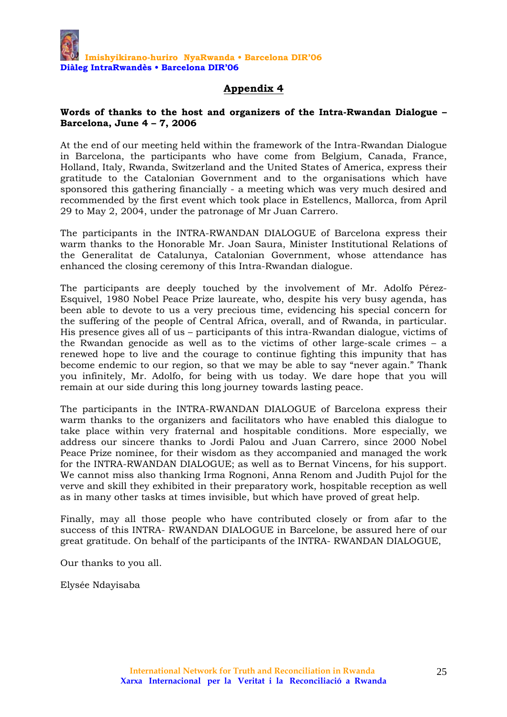#### **Words of thanks to the host and organizers of the Intra-Rwandan Dialogue – Barcelona, June 4 – 7, 2006**

At the end of our meeting held within the framework of the Intra-Rwandan Dialogue in Barcelona, the participants who have come from Belgium, Canada, France, Holland, Italy, Rwanda, Switzerland and the United States of America, express their gratitude to the Catalonian Government and to the organisations which have sponsored this gathering financially - a meeting which was very much desired and recommended by the first event which took place in Estellencs, Mallorca, from April 29 to May 2, 2004, under the patronage of Mr Juan Carrero.

The participants in the INTRA-RWANDAN DIALOGUE of Barcelona express their warm thanks to the Honorable Mr. Joan Saura, Minister Institutional Relations of the Generalitat de Catalunya, Catalonian Government, whose attendance has enhanced the closing ceremony of this Intra-Rwandan dialogue.

The participants are deeply touched by the involvement of Mr. Adolfo Pérez-Esquivel, 1980 Nobel Peace Prize laureate, who, despite his very busy agenda, has been able to devote to us a very precious time, evidencing his special concern for the suffering of the people of Central Africa, overall, and of Rwanda, in particular. His presence gives all of us – participants of this intra-Rwandan dialogue, victims of the Rwandan genocide as well as to the victims of other large-scale crimes – a renewed hope to live and the courage to continue fighting this impunity that has become endemic to our region, so that we may be able to say "never again." Thank you infinitely, Mr. Adolfo, for being with us today. We dare hope that you will remain at our side during this long journey towards lasting peace.

The participants in the INTRA-RWANDAN DIALOGUE of Barcelona express their warm thanks to the organizers and facilitators who have enabled this dialogue to take place within very fraternal and hospitable conditions. More especially, we address our sincere thanks to Jordi Palou and Juan Carrero, since 2000 Nobel Peace Prize nominee, for their wisdom as they accompanied and managed the work for the INTRA-RWANDAN DIALOGUE; as well as to Bernat Vincens, for his support. We cannot miss also thanking Irma Rognoni, Anna Renom and Judith Pujol for the verve and skill they exhibited in their preparatory work, hospitable reception as well as in many other tasks at times invisible, but which have proved of great help.

Finally, may all those people who have contributed closely or from afar to the success of this INTRA- RWANDAN DIALOGUE in Barcelone, be assured here of our great gratitude. On behalf of the participants of the INTRA- RWANDAN DIALOGUE,

Our thanks to you all.

Elysée Ndayisaba